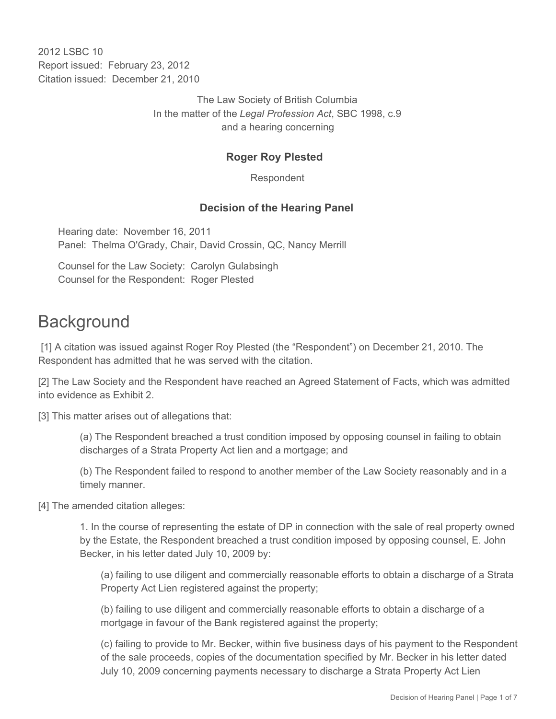2012 LSBC 10 Report issued: February 23, 2012 Citation issued: December 21, 2010

> The Law Society of British Columbia In the matter of the *Legal Profession Act*, SBC 1998, c.9 and a hearing concerning

#### **Roger Roy Plested**

Respondent

#### **Decision of the Hearing Panel**

Hearing date: November 16, 2011 Panel: Thelma O'Grady, Chair, David Crossin, QC, Nancy Merrill

Counsel for the Law Society: Carolyn Gulabsingh Counsel for the Respondent: Roger Plested

### **Background**

 [1] A citation was issued against Roger Roy Plested (the "Respondent") on December 21, 2010. The Respondent has admitted that he was served with the citation.

[2] The Law Society and the Respondent have reached an Agreed Statement of Facts, which was admitted into evidence as Exhibit 2.

[3] This matter arises out of allegations that:

(a) The Respondent breached a trust condition imposed by opposing counsel in failing to obtain discharges of a Strata Property Act lien and a mortgage; and

(b) The Respondent failed to respond to another member of the Law Society reasonably and in a timely manner.

[4] The amended citation alleges:

1. In the course of representing the estate of DP in connection with the sale of real property owned by the Estate, the Respondent breached a trust condition imposed by opposing counsel, E. John Becker, in his letter dated July 10, 2009 by:

(a) failing to use diligent and commercially reasonable efforts to obtain a discharge of a Strata Property Act Lien registered against the property;

(b) failing to use diligent and commercially reasonable efforts to obtain a discharge of a mortgage in favour of the Bank registered against the property;

(c) failing to provide to Mr. Becker, within five business days of his payment to the Respondent of the sale proceeds, copies of the documentation specified by Mr. Becker in his letter dated July 10, 2009 concerning payments necessary to discharge a Strata Property Act Lien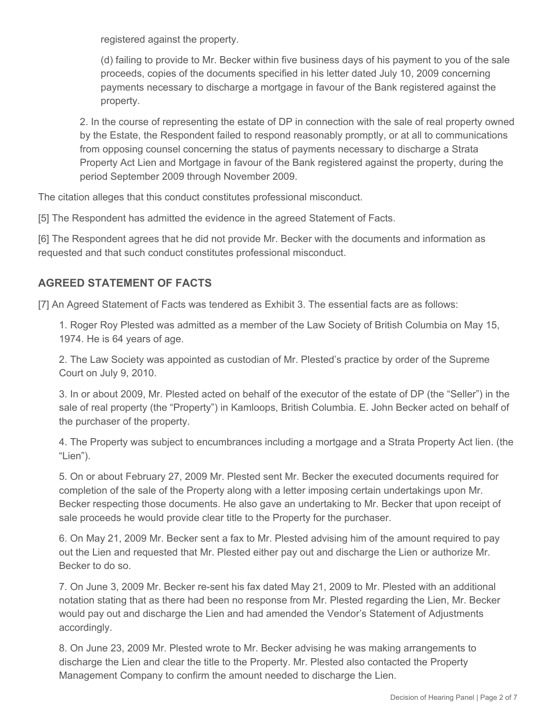registered against the property.

(d) failing to provide to Mr. Becker within five business days of his payment to you of the sale proceeds, copies of the documents specified in his letter dated July 10, 2009 concerning payments necessary to discharge a mortgage in favour of the Bank registered against the property.

2. In the course of representing the estate of DP in connection with the sale of real property owned by the Estate, the Respondent failed to respond reasonably promptly, or at all to communications from opposing counsel concerning the status of payments necessary to discharge a Strata Property Act Lien and Mortgage in favour of the Bank registered against the property, during the period September 2009 through November 2009.

The citation alleges that this conduct constitutes professional misconduct.

[5] The Respondent has admitted the evidence in the agreed Statement of Facts.

[6] The Respondent agrees that he did not provide Mr. Becker with the documents and information as requested and that such conduct constitutes professional misconduct.

#### **AGREED STATEMENT OF FACTS**

[7] An Agreed Statement of Facts was tendered as Exhibit 3. The essential facts are as follows:

1. Roger Roy Plested was admitted as a member of the Law Society of British Columbia on May 15, 1974. He is 64 years of age.

2. The Law Society was appointed as custodian of Mr. Plested's practice by order of the Supreme Court on July 9, 2010.

3. In or about 2009, Mr. Plested acted on behalf of the executor of the estate of DP (the "Seller") in the sale of real property (the "Property") in Kamloops, British Columbia. E. John Becker acted on behalf of the purchaser of the property.

4. The Property was subject to encumbrances including a mortgage and a Strata Property Act lien. (the "Lien").

5. On or about February 27, 2009 Mr. Plested sent Mr. Becker the executed documents required for completion of the sale of the Property along with a letter imposing certain undertakings upon Mr. Becker respecting those documents. He also gave an undertaking to Mr. Becker that upon receipt of sale proceeds he would provide clear title to the Property for the purchaser.

6. On May 21, 2009 Mr. Becker sent a fax to Mr. Plested advising him of the amount required to pay out the Lien and requested that Mr. Plested either pay out and discharge the Lien or authorize Mr. Becker to do so.

7. On June 3, 2009 Mr. Becker re-sent his fax dated May 21, 2009 to Mr. Plested with an additional notation stating that as there had been no response from Mr. Plested regarding the Lien, Mr. Becker would pay out and discharge the Lien and had amended the Vendor's Statement of Adjustments accordingly.

8. On June 23, 2009 Mr. Plested wrote to Mr. Becker advising he was making arrangements to discharge the Lien and clear the title to the Property. Mr. Plested also contacted the Property Management Company to confirm the amount needed to discharge the Lien.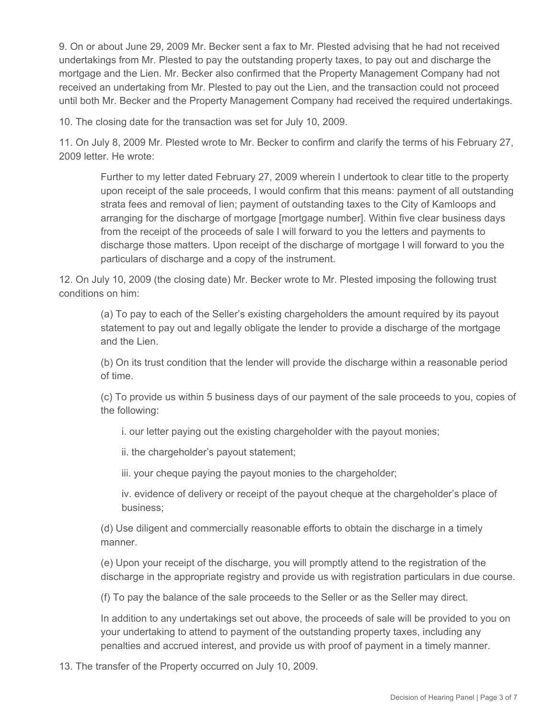9. On or about June 29, 2009 Mr. Becker sent a fax to Mr. Plested advising that he had not received undertakings from Mr. Plested to pay the outstanding property taxes, to pay out and discharge the mortgage and the Lien. Mr. Becker also confirmed that the Property Management Company had not received an undertaking from Mr. Plested to pay out the Lien, and the transaction could not proceed until both Mr. Becker and the Property Management Company had received the required undertakings.

10. The closing date for the transaction was set for July 10, 2009.

11. On July 8, 2009 Mr. Plested wrote to Mr. Becker to confirm and clarify the terms of his February 27, 2009 letter. He wrote:

Further to my letter dated February 27, 2009 wherein I undertook to clear title to the property upon receipt of the sale proceeds, I would confirm that this means: payment of all outstanding strata fees and removal of lien; payment of outstanding taxes to the City of Kamloops and arranging for the discharge of mortgage [mortgage number]. Within five clear business days from the receipt of the proceeds of sale I will forward to you the letters and payments to discharge those matters. Upon receipt of the discharge of mortgage I will forward to you the particulars of discharge and a copy of the instrument.

12. On July 10, 2009 (the closing date) Mr. Becker wrote to Mr. Plested imposing the following trust conditions on him:

(a) To pay to each of the Seller's existing chargeholders the amount required by its payout statement to pay out and legally obligate the lender to provide a discharge of the mortgage and the Lien.

(b) On its trust condition that the lender will provide the discharge within a reasonable period of time.

(c) To provide us within 5 business days of our payment of the sale proceeds to you, copies of the following:

i. our letter paying out the existing chargeholder with the payout monies;

ii. the chargeholder's payout statement;

iii. your cheque paying the payout monies to the chargeholder;

iv. evidence of delivery or receipt of the payout cheque at the chargeholder's place of business;

(d) Use diligent and commercially reasonable efforts to obtain the discharge in a timely manner.

(e) Upon your receipt of the discharge, you will promptly attend to the registration of the discharge in the appropriate registry and provide us with registration particulars in due course.

(f) To pay the balance of the sale proceeds to the Seller or as the Seller may direct.

In addition to any undertakings set out above, the proceeds of sale will be provided to you on your undertaking to attend to payment of the outstanding property taxes, including any penalties and accrued interest, and provide us with proof of payment in a timely manner.

13. The transfer of the Property occurred on July 10, 2009.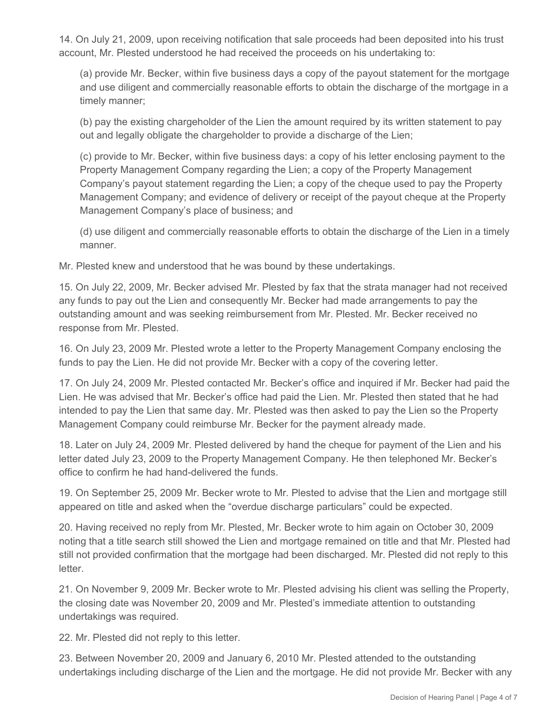14. On July 21, 2009, upon receiving notification that sale proceeds had been deposited into his trust account, Mr. Plested understood he had received the proceeds on his undertaking to:

(a) provide Mr. Becker, within five business days a copy of the payout statement for the mortgage and use diligent and commercially reasonable efforts to obtain the discharge of the mortgage in a timely manner;

(b) pay the existing chargeholder of the Lien the amount required by its written statement to pay out and legally obligate the chargeholder to provide a discharge of the Lien;

(c) provide to Mr. Becker, within five business days: a copy of his letter enclosing payment to the Property Management Company regarding the Lien; a copy of the Property Management Company's payout statement regarding the Lien; a copy of the cheque used to pay the Property Management Company; and evidence of delivery or receipt of the payout cheque at the Property Management Company's place of business; and

(d) use diligent and commercially reasonable efforts to obtain the discharge of the Lien in a timely manner.

Mr. Plested knew and understood that he was bound by these undertakings.

15. On July 22, 2009, Mr. Becker advised Mr. Plested by fax that the strata manager had not received any funds to pay out the Lien and consequently Mr. Becker had made arrangements to pay the outstanding amount and was seeking reimbursement from Mr. Plested. Mr. Becker received no response from Mr. Plested.

16. On July 23, 2009 Mr. Plested wrote a letter to the Property Management Company enclosing the funds to pay the Lien. He did not provide Mr. Becker with a copy of the covering letter.

17. On July 24, 2009 Mr. Plested contacted Mr. Becker's office and inquired if Mr. Becker had paid the Lien. He was advised that Mr. Becker's office had paid the Lien. Mr. Plested then stated that he had intended to pay the Lien that same day. Mr. Plested was then asked to pay the Lien so the Property Management Company could reimburse Mr. Becker for the payment already made.

18. Later on July 24, 2009 Mr. Plested delivered by hand the cheque for payment of the Lien and his letter dated July 23, 2009 to the Property Management Company. He then telephoned Mr. Becker's office to confirm he had hand-delivered the funds.

19. On September 25, 2009 Mr. Becker wrote to Mr. Plested to advise that the Lien and mortgage still appeared on title and asked when the "overdue discharge particulars" could be expected.

20. Having received no reply from Mr. Plested, Mr. Becker wrote to him again on October 30, 2009 noting that a title search still showed the Lien and mortgage remained on title and that Mr. Plested had still not provided confirmation that the mortgage had been discharged. Mr. Plested did not reply to this letter.

21. On November 9, 2009 Mr. Becker wrote to Mr. Plested advising his client was selling the Property, the closing date was November 20, 2009 and Mr. Plested's immediate attention to outstanding undertakings was required.

22. Mr. Plested did not reply to this letter.

23. Between November 20, 2009 and January 6, 2010 Mr. Plested attended to the outstanding undertakings including discharge of the Lien and the mortgage. He did not provide Mr. Becker with any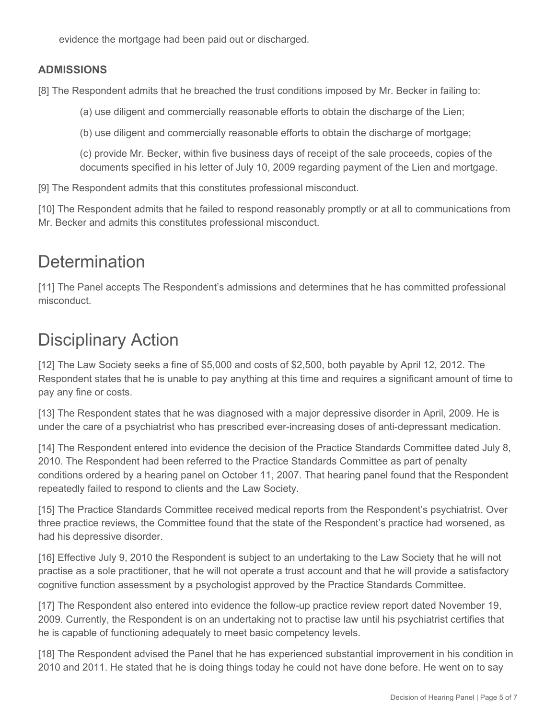evidence the mortgage had been paid out or discharged.

#### **ADMISSIONS**

[8] The Respondent admits that he breached the trust conditions imposed by Mr. Becker in failing to:

(a) use diligent and commercially reasonable efforts to obtain the discharge of the Lien;

(b) use diligent and commercially reasonable efforts to obtain the discharge of mortgage;

(c) provide Mr. Becker, within five business days of receipt of the sale proceeds, copies of the documents specified in his letter of July 10, 2009 regarding payment of the Lien and mortgage.

[9] The Respondent admits that this constitutes professional misconduct.

[10] The Respondent admits that he failed to respond reasonably promptly or at all to communications from Mr. Becker and admits this constitutes professional misconduct.

## **Determination**

[11] The Panel accepts The Respondent's admissions and determines that he has committed professional misconduct.

# Disciplinary Action

[12] The Law Society seeks a fine of \$5,000 and costs of \$2,500, both payable by April 12, 2012. The Respondent states that he is unable to pay anything at this time and requires a significant amount of time to pay any fine or costs.

[13] The Respondent states that he was diagnosed with a major depressive disorder in April, 2009. He is under the care of a psychiatrist who has prescribed ever-increasing doses of anti-depressant medication.

[14] The Respondent entered into evidence the decision of the Practice Standards Committee dated July 8, 2010. The Respondent had been referred to the Practice Standards Committee as part of penalty conditions ordered by a hearing panel on October 11, 2007. That hearing panel found that the Respondent repeatedly failed to respond to clients and the Law Society.

[15] The Practice Standards Committee received medical reports from the Respondent's psychiatrist. Over three practice reviews, the Committee found that the state of the Respondent's practice had worsened, as had his depressive disorder.

[16] Effective July 9, 2010 the Respondent is subject to an undertaking to the Law Society that he will not practise as a sole practitioner, that he will not operate a trust account and that he will provide a satisfactory cognitive function assessment by a psychologist approved by the Practice Standards Committee.

[17] The Respondent also entered into evidence the follow-up practice review report dated November 19, 2009. Currently, the Respondent is on an undertaking not to practise law until his psychiatrist certifies that he is capable of functioning adequately to meet basic competency levels.

[18] The Respondent advised the Panel that he has experienced substantial improvement in his condition in 2010 and 2011. He stated that he is doing things today he could not have done before. He went on to say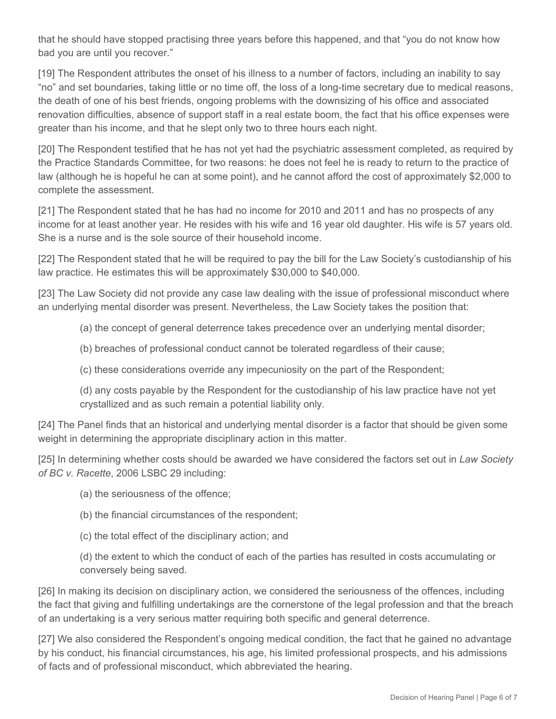that he should have stopped practising three years before this happened, and that "you do not know how bad you are until you recover."

[19] The Respondent attributes the onset of his illness to a number of factors, including an inability to say "no" and set boundaries, taking little or no time off, the loss of a long-time secretary due to medical reasons, the death of one of his best friends, ongoing problems with the downsizing of his office and associated renovation difficulties, absence of support staff in a real estate boom, the fact that his office expenses were greater than his income, and that he slept only two to three hours each night.

[20] The Respondent testified that he has not yet had the psychiatric assessment completed, as required by the Practice Standards Committee, for two reasons: he does not feel he is ready to return to the practice of law (although he is hopeful he can at some point), and he cannot afford the cost of approximately \$2,000 to complete the assessment.

[21] The Respondent stated that he has had no income for 2010 and 2011 and has no prospects of any income for at least another year. He resides with his wife and 16 year old daughter. His wife is 57 years old. She is a nurse and is the sole source of their household income.

[22] The Respondent stated that he will be required to pay the bill for the Law Society's custodianship of his law practice. He estimates this will be approximately \$30,000 to \$40,000.

[23] The Law Society did not provide any case law dealing with the issue of professional misconduct where an underlying mental disorder was present. Nevertheless, the Law Society takes the position that:

(a) the concept of general deterrence takes precedence over an underlying mental disorder;

(b) breaches of professional conduct cannot be tolerated regardless of their cause;

(c) these considerations override any impecuniosity on the part of the Respondent;

(d) any costs payable by the Respondent for the custodianship of his law practice have not yet crystallized and as such remain a potential liability only.

[24] The Panel finds that an historical and underlying mental disorder is a factor that should be given some weight in determining the appropriate disciplinary action in this matter.

[25] In determining whether costs should be awarded we have considered the factors set out in *Law Society of BC v. Racette*, 2006 LSBC 29 including:

- (a) the seriousness of the offence;
- (b) the financial circumstances of the respondent;
- (c) the total effect of the disciplinary action; and

(d) the extent to which the conduct of each of the parties has resulted in costs accumulating or conversely being saved.

[26] In making its decision on disciplinary action, we considered the seriousness of the offences, including the fact that giving and fulfilling undertakings are the cornerstone of the legal profession and that the breach of an undertaking is a very serious matter requiring both specific and general deterrence.

[27] We also considered the Respondent's ongoing medical condition, the fact that he gained no advantage by his conduct, his financial circumstances, his age, his limited professional prospects, and his admissions of facts and of professional misconduct, which abbreviated the hearing.